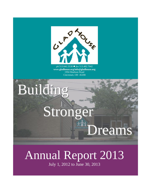

**GIVING LIFE A DREAM** *ph* 513.641.5530 *fax* 513.482.7042 **www.gladhouse.org/info@gladhouse.org** 1994 Madison Road Cincinnati, OH 45208

Building

# Stronger Dreams

## Annual Report 2013

July 1, 2012 to June 30, 2013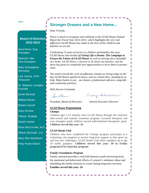**Page 2**

## **Stronger Dreams and a New Home...**

*Dear Friends,*

## **Board of Directors 2012-2013**

Sara Rorer, Esq. *President*

Spencer Liles *Vice President*

Mary Schwaderer *Secretary*

Lisa Vannis, CPA *Treasurer*

Dr. Beatrice Lampkin *Founder*

Annie Bennett

William Brown

Robert Carroll

Gary Dunbar

Patrick Khattak

David Lindner

Brian McConville, M.D.

Allison McGrath, J.D.

**Mary Rita Washburn** 

Polly Partin-Welch

*There is much to recognize and celebrate in the GLAD House Annual Report for Fiscal Year 2012-2013, which highlights the very real difference GLAD House has made in the lives of the children and families we served.*

*Celebrating 15 years of service to children and families this year, GLAD House also kicked off Giving Life a Dream: The Campaign to Ensure the Future of GLAD House as well as moving into a beautiful new home. GLAD House's mission is all about our families, and the move has given us wonderful new opportunities to serve them in greater ways.* 

*The need to break the cycle of addiction remains as strong today as the day GLAD House opened its doors, and we remain here, standing by to help. Many hanks to you – our donors, professional advisors, nonprofit and community partners.* 

*With Sincere Gratitude,*

Sara A Peres

Mary Schwaderer

*President, Board of Directors Interim Executive Director*

Ι

#### *GLAD House Programming*

#### *Champs*

Children ages 5-12 initially enter GLAD House through this intensive after-school and summer treatment program. Licensed therapists and case managers guide children toward individualized therapeutic goals. **Children served this year: 42**

#### *GLAD Hands Club*

Children who have completed the Champs program participate in a continuing care program to receive long-term support as they grow up and face new challenges. GLAD Hands Club offers members up to age 18 stable guidance. **Children served this year: 30 in Friday program/24 in Saturday program**

#### *Family Foundations Program*

Family outreach provides a vital link between youth recovering from the emotional and behavioral effects of a parent's substance abuse and rebuilding the family structure to create lasting long-term recovery. **Families served this year: 24**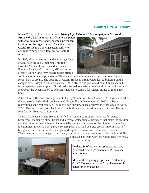## **...Giving Life A Dream**

In late 2012, GLAD House initiated *Giving Life A Dream: The Campaign to Ensure the* 

*Future of GLAD House*. Initially, the campaign will serve to purchase and renovate a permanent location for the organization. Then, it will assist GLAD House in achieving sustainability to continue to support our families well into the future.

In 1993, after witnessing the devastating effect of addiction around Cincinnati Children's Hospital Medical Center on a daily basis, Founder Beatrice C. Lampkin, MD set out to create a unique long-term program that offered



solutions to these complex issues. These children and families not only lost hope, but also forgot how to dream. The opening of GLAD House in a renovated, leased building on the campus of St. Aloysius on February 16, 1998 fulfilled one part of a dream. For 15 years, the leased space on the campus of St. Aloysius served as a safe, suitable and nurturing location. However, the expansion of St. Aloysius made it necessary for GLAD House to find a new home.

After a thoughtful and thorough search, the right home was found, and GLAD House closed on the property at 1994 Madison Road in O'Bryonville on November 30, 2012 and began renovations shortly thereafter. The move into our new space occurred the first week of April, 2013. Thanks to a generous lead donor, the building was named in honor of GLAD House founder, Dr. Beatrice C. Lampkin.

The GLAD House Dream Home is nestled in a quaint community with locally-owned businesses, manicured street fronts and a lively, welcoming atmosphere that make the children and their families feel at home. An especially unique component of the Dream Home is its location next to Owl's Nest park, a 10-acre park. Play and exercise are an important part of being a kid and for our youth, having a park right next to us is an invaluable resource. Therapists and case managers have plenty of room to do therapeutic recreation and build life



skills such as team work for youth just steps away from our building.

To date, **34** of our earliest participants have graduated from high school and **25** have entered college.

Most of these young people started attending GLAD House around age 7 and have participated for over a decade.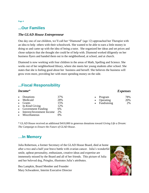## **...Our Families**

## *The GLAD House Entrepreneur*

One day one of our children, we'll call her "Diamond" (age 12) approached her Therapist with an idea to help others with their schoolwork. She wanted to be able to earn a little money in doing so and came up with the idea of being a tutor. She organized her ideas and set prices and chose subjects that she thought she could be of help with. Diamond worked diligently on her business flyers and handed them out in the neighborhood, at school, and at church.

Diamond is now working with four children in the areas of Math, Spelling and Science. She works out of her neighborhood library, where she meets her young students after school. She states that she is feeling good about her business and herself. She believes the business will grow even more, providing her with more spending money on the side.

## **...Fiscal Responsibility**

### *Income*\*

|           | Donations                  | 37% |
|-----------|----------------------------|-----|
| $\bullet$ | Medicaid                   | 28% |
|           | <b>Grants</b>              | 15% |
|           | In-Kind Giving             | 12% |
|           | Government Funding         | 6%  |
|           | Interest/Investment Income | 2%  |
|           | Miscellaneous              |     |

\* GLAD House received an additional \$410,000 in generous donations toward *Giving Life a Dream: The Campaign to Ensure the Future of GLAD House*.

## **…In Memory**

Julia Robertson, a former Secretary of the GLAD House Board, died at home after a two and a half year brave battle with ovarian cancer. Julia's wonderful smile, upbeat personality, enthusiasm, creative ideas and expertise are immensely missed by the Board and all of her friends. This picture of Julia and her beloved dog, Pringles, illustrates Julia's attributes.

Bea Lampkin, Board Member and Founder Mary Schwaderer, Interim Executive Director



## *Expenses*

| ٠         | Program     | 78% |
|-----------|-------------|-----|
|           | Operating   | 20% |
| $\bullet$ | Fundraising | 2%  |

**Page 4**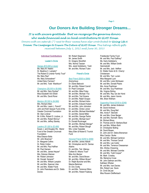## **Our Donors Are Building Stronger Dreams...**

*It is with sincere gratitude that we recognize the generous donors who made financial and in-kind contributions to GLAD House.* 

*Donors with an asterisk (\*) next to their names have also contributed to Giving Life A Dream: The Campaign to Ensure The Future of GLAD House. This listing reflects gifts received between July 1, 2012 and June 30, 2013*

#### **Individual Contributions**

#### **Leader's Circle**

#### *Heroes (\$10,000 or more)*

Ms. Mary M. Heekin Dr. Beatrice C. Lampkin\* The Robert D Lindner Family Trust\* Ms. Mary Rea\* Ms. Mary Schwaderer\* United Dairy Farmers\* Mr. and Mrs. Todd Washburn\*

#### *Champions (\$5,000 to \$9,999)*

Mr. and Mrs. Gary Dunbar\* Miss Elizabeth Ann Elliott Mr. and Mrs. David Rorer

#### *Mentors (\$2,500 to \$4,999)*

Mrs. Richard Allen Mr. and Mrs. Lewis L. French\* John and Ruth Sawyer Fund of the Greater Cincinnati Foundation Mr. Alan Lindner Mr. & Mrs. Robert D. Lindner, Jr. Mr. and Mrs. Robert McCoy\* Mr. and Mrs. Jeffrey Stanley

#### *Leaders (\$1,000 to \$2,499)*

Susan J. and Douglas Ws. Bierer Fund of the Greater Cincinnati **Foundation** Miss Eleanor Botts Mr. John Bowman\* Dr. Margaret Collins Dr. Robin Cotton Mr. and Mrs. Paul Haffner Mr. Paul Hansen Mr. and Mrs. James Heyser\* Mrs. Dolores Hileman Mr. Robert Johnston Mr. Donald Kerwick**\*** Mr. and Mrs. William Lampkin Mr. and Mrs. Spencer Liles Mr. and Mrs. Walter Frank Dr. John Perentesis and Dr. Stella Davies

Mr. Robert Siegmann Mr. James Smith Dr. Gregory Stockfish Mrs. Norma Tassian Mrs. Janet Goldsberry Todd Mr. and Mrs. Richard Tuten

#### **Friend's Circle**

#### *Best Friend (\$500 to \$999)*

**Anonymous** Dr. Diane Babcock Mr. and Mrs. Robert Carroll Dr. Pearl Compaan Mr. and Mrs. Mike Finley Mr. and Mrs. Michael Fox Mr. and Mrs. Ted Groene Dr. and Mrs. Ralph Gruppo Mr. and Mrs. Richard Hohn Mr. and Mrs. Edward Hubert Mr. and Mrs. John Johnston Dr. and Mrs. Clinton Joiner Mr. and Mrs. Michael Kleinfelder\* Dr. and Mrs. Daniel Miller Mr. and Mrs. George Perbix Mr. and Mrs. Michael Quin\* Dr. Donald Rucknagel Mr. and Mrs. Michael Stenger\* Mr. and Mrs. Robert Stough Mrs. Linda Teasdale Mary Ellen & Robert E Trunick Fund

#### *Honored Friend (\$250 to \$499)*

Mr. and Mrs. James Abbott Mr. Christopher and Dr. Denise Adams Dr. and Mrs. Ted Altenau Colleen B. Athans Trust\* Miss Ann Becker Mr. and Mrs. David Brown Mr. and Mrs. William Brown\* Dr. Ralph Buncher and Mrs. Maxine Berkman Dr. Eric Crotty Dr. and Mrs. Terrence Dillon Mr. and Mrs. Robert Faaborg

Friedlander Family Fund Mr. and Mrs. Paul Gaffney\* Ms. Karis Goldsberry Mr. and Mrs. William Smith **Hammelrath** Mr. and Mrs. Jack Heffner Dr. Walter Hulon & Dr. Cherryl Christensen Mr. and Mrs. Ted Lucien Miss Margaret Lyon Mr. and Mrs. Loren McQueen Mr. and Mrs. Donald Peairs Mrs. Anne Poehlman Mr. and Mrs. Guy Poehlman Ms. Virginia Stirling Mr. and Mrs. Ray van der Horst Mr. and Mrs. Jason Vannis Mrs. Brian Welham

#### *Supporting Friend (\$100 to \$249)*

Mr. and Mrs. James Anderson Mr. David Andrews Mr. and Mrs. Doug Bell Mrs. Annie F. Bennett Mr. and Mrs. Omer Berger Mr. and Mrs. Kenneth Berry Mr. Richard Bloss Dr. Thomas and Dr. Barbara Boat Mr. and Mrs. William Bohl Dr. Christopher Bolling Mr. David Bowen Dr. John and Dr. Debra Breneman Miss Carolyn Burke Mr. and Mrs. Michael Cambron Mr. and Mrs. Thomas Carroll Mr. and Mrs. Lee Carter Mr. and Mrs. Terrence Cheeseman Mrs. Shirley Chewning Mr. and Mrs. Michael Coombe Mr. and Mrs. Todd Cooper\* Mr. Mark Crowley Ms. Marianna Cruse Mr. John Dallman and Mrs. Kathleen Whelan Mr. and Mrs. Ivan Davies Mrs. Robert Lee Davis Dr. Cindi DeLaat Miss Roxann Dieffenbach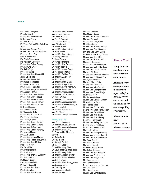#### **Page 6**

Mrs. Jackie Donoghue Mr. John Dovich Mr. and Mrs. Jim Ellerhorst Dr. Kathleen Emery Mr. John Evans Mr. Thom Fath and Mrs. Beth Kline -Fath Dr. and Mrs. Thomas Fischer Dr. and Mrs. M. Harold Fogelson Miss Judy Anne Fox Miss H. Jane Gavin Ms. Gloria Giannestras Ms. Kathleen Gibboney Mr. and Mrs. Robert Goering Mrs. Edmund Graber Ms. Judith Guju Mr. Todd Haacke Mr. and Mrs. John Habbert III Judge Deidra Hair Dr. and Mrs. James Hall Mr. Donald Heimbrock Mr. Donald S. Heithaus Mrs. Susanne Herrnstein Mr. and Mrs. Merlyn Heusinkveld Mrs. Joseph Hoffman Mrs. Betty Bush Botts Holden Mr. and Mrs. Brian Holland Mr. and Mrs. James Holland Mr. and Mrs. Richard Homan\* Mr. and Mrs. Richard Homlar Dr. Robert Ingberg Ms. Mary Ann Jervis Dr. Theodosia Kalfa Mr. and Mrs. Thomas Kidd Ms. Connie Kingsbury Mr. Timothy Kramer Mr. and Mrs. Jerome Lafferty Mr. and Mrs. Daniel LeBlond Dr. and Mrs. Jeffrey Lobel Mr. and Mrs. Daniel Mahoney Mrs. Alycen Mansell Mrs. Alvin Mauer Mr. and Mrs. Vernon Maxson Mr. and Mrs. Robert McCormick Mr. and Mrs. John Melton Miss Joan Mettey Ms. Betty Miller Mrs. Marjorie Motch Mrs. Ruth Motz Mr. and Mrs. Thomas C. Mowry Mrs. Betty Nelcamp Dr. Marilyn Nelson Rev. Rhonda O'Reilly Mr. Kevin Osterfeld\* Mr. and Mrs. Paul Parks Mrs. Barbara Parry Mr. and Mrs. John Phares

Mr. and Mrs. Dale Rayney Mrs. Caroline Richards Mrs. Janet Robertson Mr. Paul F. Rumpke Dr. Catherine Saelinger Mrs. Ellen Sewell Ms. Susan Sewell Mr. and Mrs. Garrett Sigler Mr. Barry Smyth Mr. and Mrs. David Stanley Dr. Jeffrey Stockfish Dr. Janos Sumegi Dr. James Sutherland Mr. and Mrs. Roy Sweeney Dr. William Tedford Mr. and Mrs. Abbot Thayer Mr. A. Richard Thomas Mr. and Mrs. William Tidd Mr. and Mrs. Aaron Till\* Ms. Rita Uehlein Mr. and Mrs. Mark Vicario Mr. and Mrs. Roger Wade Mr. and Mrs. Lewis Washburn\* Dr. and Mrs. Robert Wells Mr. and Mrs. Craig Westbay Dr. and Mrs. Jeffrey Whitsett Dr. Judith Wilimas Dr. and Mrs. John Williams Mr. and Mrs. James Winchester Mr. and Mrs. Robert Winters, Jr. Mrs. Andrea Wiot Mr. and Mrs. Eric Withrow Mrs. Ann Wood Mr. and Mrs. Joseph Yearwood

#### *Friend (up to \$99)*

Mrs. Robert Anderson Dr. and Mrs. Bruce Archibald Mr. and Mrs. James Arlinghaus Mr. and Mrs. Paul Avery Dr. Wynn and Dr. Elisabeth Baldock Ms. Betsy Baxter Dr. Paul Bellet Ms. Georgie Bestfelt Mr. M. Todd Bezold Dr. and Mrs. Gary Biehl Dr. David and Dr. Diane Billmire Mr. and Mrs. Gary Bivins Mr. and Mrs. Joseph Breiner Mr. and Mrs. Brian Brimelow Ms. Debby Brooks Mr. and Mrs. Mark Brueggeman Ms. Suzanne Burke Mr. David Byrne Mrs. Mary Anne Christie Ms. Gayle Cobb

Ms. Jean Cochran Mrs. Marilyn Cones Mr. and Mrs. Howard Constable Ms. Alva Crawford Dr. and Mrs. Kerry Crone Miss Libby Curtis Mr. and Mrs. Richard Dallmer Mr. and Mrs. Dave Damaska Mr. and Mrs. Jerry Davis Dr. Peter and Dr. Patty Dignan Mr. and Mrs. Brian Dillon Mr. and Mrs. Richard Dillon Mrs. Joan Donoghue Dr. and Mrs. Emanuel Doyne Mr. and Mrs. Melvin Dreyfoos Mr. and Mrs. Dennis Dundes Ms. Mary M. Dunn Dr. and Mrs. Stewart B. Dunsker Mr. and Mrs. C. Richard Eby Ms. Myriam Engelken Ms. Mary Elaine Ervin Dr. and Mrs. Carl Evert Mr. and Mrs. Mike Fasoldt Mr. and Mrs. George Fecher Mr. and Mrs. Edward Freije Mr. Dean Gaudin Ms. Suzanne Gillman Mr. and Mrs. Michael Grimley Mr. Christopher Goss Ms. Frances Haas Mr. and Mrs. Buddie Hale Dr. and Mrs. Stuart Handwerger Mr. and Mrs. Daniel Hanus Mr. and Mrs. Jere Hardy Mr. and Mrs. Brian Harvey Dr. James Helmsworth Mr. and Mrs. Jeffrey Hendricks Dr. and Mrs. James Heubi Dr. and Mrs. Steven Hoath Ms. Judith Holden. Mr. and Mrs. George Horning Mr. and Mrs. Charles Howard Mr. and Mrs. William Kearney Ms. Anne Keefe\* Ms. Mildred Kincaid Ms. Muriel Kiphart Dr. Sherry Knapp-Brown Mrs. Esther Knueven Mr. and Mrs. Sam Kocoshis Mr. and Mrs. Frank Kohorst Mr. and Mrs. Andy Krisko Mrs. Vera Lambert Ms. Cynthia Lampkin

Dr. and Mrs. Jonathan Lampkin

Ms. Lynn Lanman Mrs. Karen Larsen Mr. and Mrs. Simati Laupola

#### *Thank You!*

*Many thanks to our donors who wish to remain anonymous.*

*Although every attempt is made to accurately report all of our donors, errors can occur and we apologize for any misspelling or omission.*

*Please contact us at 513.641.5530 with corrections.*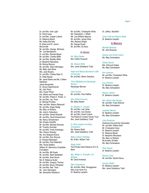Dr. and Mrs. Irwin Light Dr. David Lipps Dr. and Mrs. Joseph Luttmer Dr. Rebecca Marsh Ms. Kelley McCabe Dr. Brian and Dr. Janice **McConville** Mr. and Mrs. George McIlveen Mr. Joe Mendelsohn Dr. and Mrs. Richard Meyer Mr. and Mrs. Charles Miller Mr. and Mrs. Bradley Miller Dr. Benjamin Mizukawa Mr. Murray Monroe Mr. and Mrs. Glenn Montague Ms. Betty Jean Mouk Mrs. Jane Murphy Dr. and Mrs. Charles Myer III Dr. Wafa Nasser Ms. Janet Deters and Ms. Colleen Needham Jamie Neuspickle Dr. Sonya Oppenheimer Mr. John Perry Mrs. Susan Polzin Drs. Martin and Pamela Popp Mr. and Mrs. Robert C. Porter, Jr. Mr. and Mrs. Jay Price Dr. Michael Privitera Mrs. and Mrs. Marlyn Rabenold Mr. and Mrs. Roger Rettig Ms. Mary Jo Roberts Ms. Julia A. Robertson Mr. and Mrs. Daniel Robinett Mr. and Mrs. David Schackmann Ms. Nancy Schackmann Ms. Emalou Schaffer Mr. and Mrs. Michael Schoose Mr. Timothy Schroder Mr. and Mrs. Frank Schweiger Mrs. Sharon Shanley Ms. Ann Shepard-Rueve Mr. and Mrs. Ron Shryock Dr. Edward Silberstein Mr. and Mrs. Paul Sittenfeld Mrs. Gloria Slattery William W. Slemmons Charitable Foundation Mr. and Mrs. Bill Sowle Mr. and Mrs. Mark Stedtefeld Mr. and Mrs. Brad Storch Ms. B. Rebecca Suder Mr. and Mrs. Gregory Thomas Mr. and Mrs. Bruce Tillinghast Mr. and Mrs. Neil Tilow Mr. John Warrington Ms. Samantha Washburn

Mr. and Mrs. Christopher White Ms. Gwendolyn J. Wilder Ms. Lisa Wilkens-Maynus Mr. and Mrs. James Wise Mrs. Barbara Wright Mr. George Wuest Mr. and Mrs. Ed Zeno

#### **In Honor**

*Ms. Betsy Baxter* Mrs. Esther Knueven

*Ms. Eleanor Botts* Mrs. Janet Goldsberry Todd

*Ralph and Maxine Bunchner's 20th Anniversary* Mr. and Mrs. Melvin Dreyfoos

*Chris DiBattista and Neuberger Berman* Neuberger Berman

*Gary Dunbar* Mr. and Mrs. Paul Haffner

*Mrs. Esther Knueven* Ms. Betsy Baxter

#### *Dr. Beatrice C. Lampkin*

Mr. and Mrs. Lee Carter Mr. and Mrs. Ivan Davies Mr. and Mrs. David Lindner The Robert D Lindner Family Trust Mrs. Janet Goldsberry Todd

*Dr. Bea Lampkin and Mary Schwaderer* Ms. Eleanor Botts

Mrs. Janet Goldsberry Todd

*Betty Lindner's Birthday* Mr. & Mrs. William Tidd

*Adele Schiff* The Private Client Reserve Of U.S. Bank

*Mrs. Walter A. Schmidt's 102 Birthday* Mr. David Andrews

#### *Mary Schwaderer* Mr. and Mrs. Mark Brueggeman Miss Judy Anne Fox Dr. Beatrice Lampkin

Dr. Jeffrey Stockfish

*Janet Todd and Eleanor Botts*  Dr. Beatrice Lampkin

#### **In Memory**

*Michelle Bowman* Mr. John Bowman

*Delores and Arnold Catron* Ms. Mary Schwaderer

*Shirley Davies* Mrs. Edmund Graber Ms. Mary Schwaderer

*Ken Jameson* Mr. and Mrs. Christopher White Dr. Beatrice Lampkin

*Lea Johnston* Dr. Beatrice Lampkin Ms. Mary Schwaderer

*Warren Latimer* Dr. Beatrice Lampkin

*Mrs. Marian Rae Morgan* Mr. and Mrs. Frank Kohorst Ms. Mary Schwaderer

*Jeanette Nieman* Dr. Beatrice Lampkin Ms. Mary Schwaderer

#### *Julia Robertson*

Anderson Eye and Ear Associates Mr. and Mrs. William Bohl Mr. Christopher Goss Dr. Beatrice Lampkin Dr. Rebecca Marsh Dr. Benjamin Mizukawa Ms. Mary Jo Roberts Ms Emalou Schafer Ms. Mary Schwaderer

*Ruth Sawyer* Dr. Beatrice Lampkin

*Richard Todd* Mr. and Mrs. Daniel Hanus

*Dorothy Walter* Dr. Beatrice Lampkin Mrs. Janet Goldsberry Todd